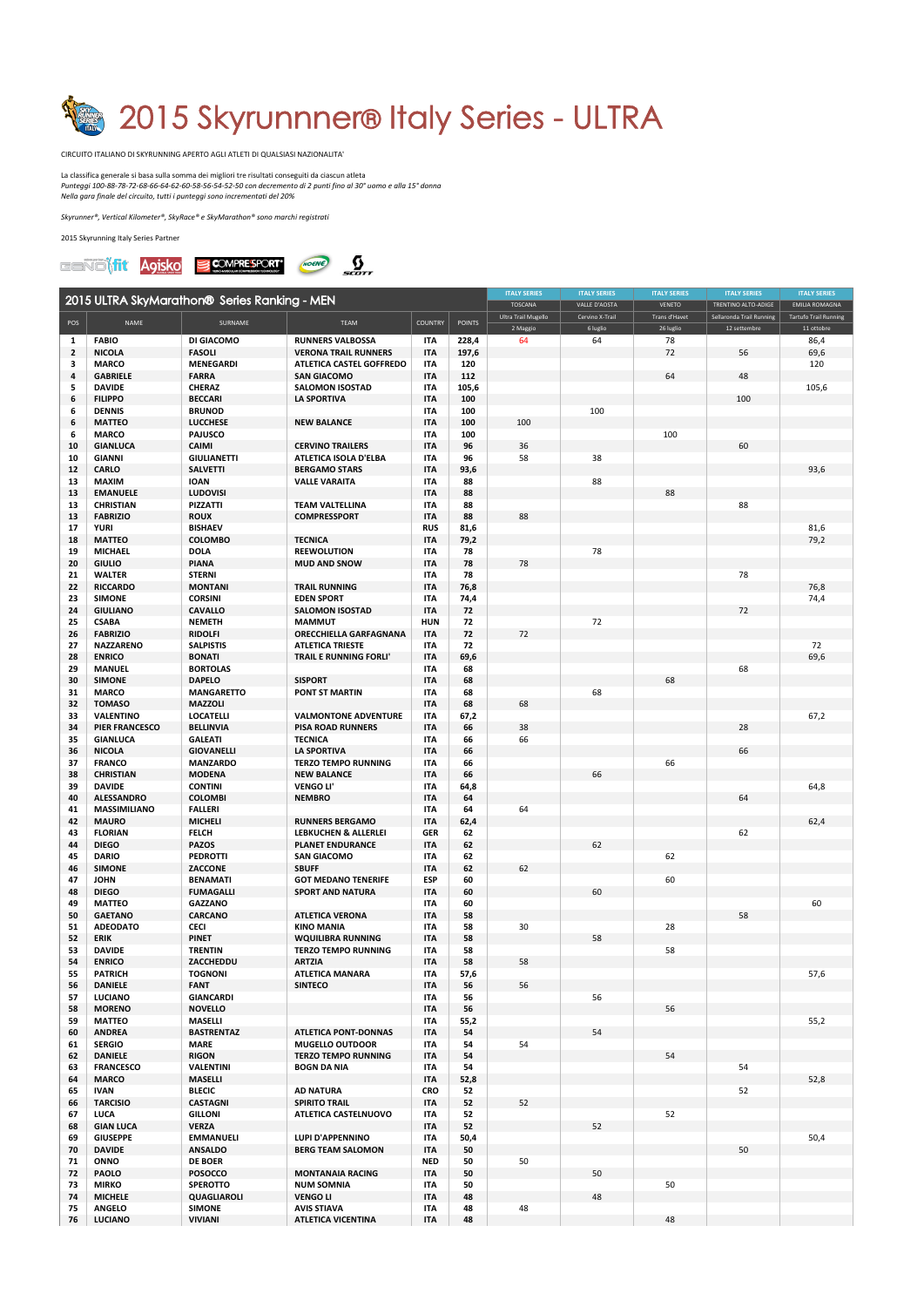

CIRCUITO ITALIANO DI SKYRUNNING APERTO AGLI ATLETI DI QUALSIASI NAZIONALITA'

La classifica generale si basa sulla somma dei migliori tre risultati conseguiti da ciascun atleta *Punteggi 100-88-78-72-68-66-64-62-60-58-56-54-52-50* con decremento di 2 punti fino al 30° uomo e alla 15° donna *Nella gara finale del circuito, tutti i punteggi sono incrementati del 20%*

 $S$ kyrunner<sup>®</sup>, Vertical Kilometer®, SkyRace® e SkyMarathon® sono marchi registrati

2015 Skyrunning Italy Series Partner



|                |                                   |                                              |                                                        |                          |               | <b>ITALY SERIES</b> | <b>ITALY SERIES</b> | <b>ITALY SERIES</b>        | <b>ITALY SERIES</b>                      | <b>ITALY SERIES</b>                        |
|----------------|-----------------------------------|----------------------------------------------|--------------------------------------------------------|--------------------------|---------------|---------------------|---------------------|----------------------------|------------------------------------------|--------------------------------------------|
|                |                                   | 2015 ULTRA SkyMarathon® Series Ranking - MEN |                                                        |                          |               | <b>TOSCANA</b>      | VALLE D'AOSTA       | <b>VENETO</b>              | TRENTINO ALTO-ADIGE                      | <b>EMILIA ROMAGNA</b>                      |
| POS            | <b>NAME</b>                       | SURNAME                                      | <b>TEAM</b>                                            | <b>COUNTRY</b>           | <b>POINTS</b> | Ultra Trail Mugello | Cervino X-Trail     | Trans d'Havet<br>26 luglio | Sellaronda Trail Running<br>12 settembre | <b>Tartufo Trail Running</b><br>11 ottobre |
| 1              | <b>FABIO</b>                      | DI GIACOMO                                   | <b>RUNNERS VALBOSSA</b>                                | <b>ITA</b>               | 228,4         | 2 Maggio<br>64      | 6 luglio<br>64      | 78                         |                                          | 86,4                                       |
| $\overline{2}$ | <b>NICOLA</b>                     | <b>FASOLI</b>                                | <b>VERONA TRAIL RUNNERS</b>                            | <b>ITA</b>               | 197,6         |                     |                     | 72                         | 56                                       | 69,6                                       |
| 3              | <b>MARCO</b>                      | <b>MENEGARDI</b>                             | <b>ATLETICA CASTEL GOFFREDO</b>                        | <b>ITA</b>               | 120           |                     |                     |                            |                                          | 120                                        |
| 4              | <b>GABRIELE</b>                   | <b>FARRA</b>                                 | <b>SAN GIACOMO</b>                                     | <b>ITA</b>               | 112           |                     |                     | 64                         | 48                                       |                                            |
| 5<br>6         | <b>DAVIDE</b><br><b>FILIPPO</b>   | <b>CHERAZ</b><br><b>BECCARI</b>              | <b>SALOMON ISOSTAD</b><br><b>LA SPORTIVA</b>           | <b>ITA</b><br><b>ITA</b> | 105,6<br>100  |                     |                     |                            | 100                                      | 105,6                                      |
| 6              | <b>DENNIS</b>                     | <b>BRUNOD</b>                                |                                                        | ITA                      | 100           |                     | 100                 |                            |                                          |                                            |
| 6              | <b>MATTEO</b>                     | <b>LUCCHESE</b>                              | <b>NEW BALANCE</b>                                     | <b>ITA</b>               | 100           | 100                 |                     |                            |                                          |                                            |
| 6              | <b>MARCO</b>                      | <b>PAJUSCO</b>                               |                                                        | ITA                      | 100           |                     |                     | 100                        |                                          |                                            |
| 10             | <b>GIANLUCA</b>                   | <b>CAIMI</b>                                 | <b>CERVINO TRAILERS</b>                                | <b>ITA</b>               | 96            | 36                  |                     |                            | 60                                       |                                            |
| 10             | <b>GIANNI</b>                     | <b>GIULIANETTI</b>                           | <b>ATLETICA ISOLA D'ELBA</b>                           | <b>ITA</b>               | 96            | 58                  | 38                  |                            |                                          |                                            |
| 12<br>13       | <b>CARLO</b><br><b>MAXIM</b>      | <b>SALVETTI</b><br><b>IOAN</b>               | <b>BERGAMO STARS</b><br><b>VALLE VARAITA</b>           | <b>ITA</b><br><b>ITA</b> | 93,6<br>88    |                     | 88                  |                            |                                          | 93,6                                       |
| 13             | <b>EMANUELE</b>                   | <b>LUDOVISI</b>                              |                                                        | <b>ITA</b>               | 88            |                     |                     | 88                         |                                          |                                            |
| 13             | <b>CHRISTIAN</b>                  | <b>PIZZATTI</b>                              | <b>TEAM VALTELLINA</b>                                 | <b>ITA</b>               | 88            |                     |                     |                            | 88                                       |                                            |
| 13             | <b>FABRIZIO</b>                   | <b>ROUX</b>                                  | <b>COMPRESSPORT</b>                                    | <b>ITA</b>               | 88            | 88                  |                     |                            |                                          |                                            |
| 17             | <b>YURI</b>                       | <b>BISHAEV</b>                               |                                                        | <b>RUS</b>               | 81,6          |                     |                     |                            |                                          | 81,6                                       |
| 18             | <b>MATTEO</b>                     | <b>COLOMBO</b>                               | <b>TECNICA</b>                                         | <b>ITA</b>               | 79,2          |                     |                     |                            |                                          | 79,2                                       |
| 19             | <b>MICHAEL</b>                    | <b>DOLA</b>                                  | <b>REEWOLUTION</b>                                     | <b>ITA</b>               | 78            |                     | 78                  |                            |                                          |                                            |
| 20<br>21       | <b>GIULIO</b><br><b>WALTER</b>    | <b>PIANA</b><br><b>STERNI</b>                | <b>MUD AND SNOW</b>                                    | <b>ITA</b><br><b>ITA</b> | 78<br>78      | 78                  |                     |                            | 78                                       |                                            |
| 22             | <b>RICCARDO</b>                   | <b>MONTANI</b>                               | <b>TRAIL RUNNING</b>                                   | <b>ITA</b>               | 76,8          |                     |                     |                            |                                          | 76,8                                       |
| 23             | <b>SIMONE</b>                     | <b>CORSINI</b>                               | <b>EDEN SPORT</b>                                      | ITA                      | 74,4          |                     |                     |                            |                                          | 74,4                                       |
| 24             | <b>GIULIANO</b>                   | <b>CAVALLO</b>                               | <b>SALOMON ISOSTAD</b>                                 | <b>ITA</b>               | 72            |                     |                     |                            | 72                                       |                                            |
| 25             | <b>CSABA</b>                      | <b>NEMETH</b>                                | <b>MAMMUT</b>                                          | <b>HUN</b>               | 72            |                     | 72                  |                            |                                          |                                            |
| 26             | <b>FABRIZIO</b>                   | <b>RIDOLFI</b>                               | <b>ORECCHIELLA GARFAGNANA</b>                          | <b>ITA</b>               | 72            | 72                  |                     |                            |                                          |                                            |
| 27             | <b>NAZZARENO</b>                  | <b>SALPISTIS</b>                             | <b>ATLETICA TRIESTE</b>                                | <b>ITA</b>               | 72            |                     |                     |                            |                                          | 72                                         |
| 28<br>29       | <b>ENRICO</b><br><b>MANUEL</b>    | <b>BONATI</b><br><b>BORTOLAS</b>             | <b>TRAIL E RUNNING FORLI'</b>                          | <b>ITA</b><br><b>ITA</b> | 69,6<br>68    |                     |                     |                            |                                          | 69,6                                       |
| 30             | <b>SIMONE</b>                     | <b>DAPELO</b>                                | <b>SISPORT</b>                                         | <b>ITA</b>               | 68            |                     |                     | 68                         | 68                                       |                                            |
| 31             | <b>MARCO</b>                      | <b>MANGARETTO</b>                            | <b>PONT ST MARTIN</b>                                  | <b>ITA</b>               | 68            |                     | 68                  |                            |                                          |                                            |
| 32             | <b>TOMASO</b>                     | <b>MAZZOLI</b>                               |                                                        | ITA                      | 68            | 68                  |                     |                            |                                          |                                            |
| 33             | <b>VALENTINO</b>                  | <b>LOCATELLI</b>                             | <b>VALMONTONE ADVENTURE</b>                            | ITA                      | 67,2          |                     |                     |                            |                                          | 67,2                                       |
| 34             | <b>PIER FRANCESCO</b>             | <b>BELLINVIA</b>                             | <b>PISA ROAD RUNNERS</b>                               | <b>ITA</b>               | 66            | 38                  |                     |                            | 28                                       |                                            |
| 35             | <b>GIANLUCA</b>                   | <b>GALEATI</b>                               | <b>TECNICA</b>                                         | <b>ITA</b>               | 66            | 66                  |                     |                            |                                          |                                            |
| 36             | <b>NICOLA</b>                     | <b>GIOVANELLI</b><br><b>MANZARDO</b>         | <b>LA SPORTIVA</b>                                     | <b>ITA</b>               | 66            |                     |                     |                            | 66                                       |                                            |
| 37<br>38       | <b>FRANCO</b><br><b>CHRISTIAN</b> | <b>MODENA</b>                                | <b>TERZO TEMPO RUNNING</b><br><b>NEW BALANCE</b>       | ITA<br><b>ITA</b>        | 66<br>66      |                     | 66                  | 66                         |                                          |                                            |
| 39             | <b>DAVIDE</b>                     | <b>CONTINI</b>                               | <b>VENGOLI'</b>                                        | <b>ITA</b>               | 64,8          |                     |                     |                            |                                          | 64,8                                       |
| 40             | <b>ALESSANDRO</b>                 | <b>COLOMBI</b>                               | <b>NEMBRO</b>                                          | <b>ITA</b>               | 64            |                     |                     |                            | 64                                       |                                            |
| 41             | <b>MASSIMILIANO</b>               | <b>FALLERI</b>                               |                                                        | <b>ITA</b>               | 64            | 64                  |                     |                            |                                          |                                            |
| 42             | <b>MAURO</b>                      | <b>MICHELI</b>                               | <b>RUNNERS BERGAMO</b>                                 | <b>ITA</b>               | 62,4          |                     |                     |                            |                                          | 62,4                                       |
| 43             | <b>FLORIAN</b>                    | <b>FELCH</b>                                 | <b>LEBKUCHEN &amp; ALLERLEI</b>                        | <b>GER</b>               | 62            |                     |                     |                            | 62                                       |                                            |
| 44<br>45       | <b>DIEGO</b><br><b>DARIO</b>      | <b>PAZOS</b><br><b>PEDROTTI</b>              | <b>PLANET ENDURANCE</b><br><b>SAN GIACOMO</b>          | <b>ITA</b><br>ITA        | 62<br>62      |                     | 62                  | 62                         |                                          |                                            |
| 46             | <b>SIMONE</b>                     | <b>ZACCONE</b>                               | <b>SBUFF</b>                                           | ITA                      | 62            | 62                  |                     |                            |                                          |                                            |
| 47             | <b>JOHN</b>                       | <b>BENAMATI</b>                              | <b>GOT MEDANO TENERIFE</b>                             | <b>ESP</b>               | 60            |                     |                     | 60                         |                                          |                                            |
| 48             | <b>DIEGO</b>                      | <b>FUMAGALLI</b>                             | <b>SPORT AND NATURA</b>                                | ITA                      | 60            |                     | 60                  |                            |                                          |                                            |
| 49             | <b>MATTEO</b>                     | <b>GAZZANO</b>                               |                                                        | <b>ITA</b>               | 60            |                     |                     |                            |                                          | 60                                         |
| 50             | <b>GAETANO</b>                    | <b>CARCANO</b>                               | <b>ATLETICA VERONA</b>                                 | <b>ITA</b>               | 58            |                     |                     |                            | 58                                       |                                            |
| 51             | <b>ADEODATO</b>                   | <b>CECI</b>                                  | <b>KINO MANIA</b>                                      | <b>ITA</b>               | 58            | 30 <sup>°</sup>     |                     | 28                         |                                          |                                            |
| 52<br>53       | <b>ERIK</b><br><b>DAVIDE</b>      | <b>PINET</b><br><b>TRENTIN</b>               | <b>WQUILIBRA RUNNING</b><br><b>TERZO TEMPO RUNNING</b> | <b>ITA</b><br><b>ITA</b> | 58<br>58      |                     | 58                  | 58                         |                                          |                                            |
| 54             | <b>ENRICO</b>                     | ZACCHEDDU                                    | <b>ARTZIA</b>                                          | <b>ITA</b>               | 58            | 58                  |                     |                            |                                          |                                            |
| 55             | <b>PATRICH</b>                    | <b>TOGNONI</b>                               | <b>ATLETICA MANARA</b>                                 | ITA                      | 57,6          |                     |                     |                            |                                          | 57,6                                       |
| 56             | <b>DANIELE</b>                    | <b>FANT</b>                                  | <b>SINTECO</b>                                         | <b>ITA</b>               | 56            | 56                  |                     |                            |                                          |                                            |
| 57             | <b>LUCIANO</b>                    | <b>GIANCARDI</b>                             |                                                        | <b>ITA</b>               | 56            |                     | 56                  |                            |                                          |                                            |
| 58             | <b>MORENO</b>                     | <b>NOVELLO</b>                               |                                                        | <b>ITA</b>               | 56            |                     |                     | 56                         |                                          |                                            |
| 59             | <b>MATTEO</b>                     | <b>MASELLI</b>                               |                                                        | ITA                      | 55,2          |                     |                     |                            |                                          | 55,2                                       |
| 60<br>61       | <b>ANDREA</b><br><b>SERGIO</b>    | <b>BASTRENTAZ</b><br><b>MARE</b>             | <b>ATLETICA PONT-DONNAS</b><br><b>MUGELLO OUTDOOR</b>  | <b>ITA</b><br><b>ITA</b> | 54<br>54      | 54                  | 54                  |                            |                                          |                                            |
| 62             | <b>DANIELE</b>                    | <b>RIGON</b>                                 | <b>TERZO TEMPO RUNNING</b>                             | ITA                      | 54            |                     |                     | 54                         |                                          |                                            |
| 63             | <b>FRANCESCO</b>                  | <b>VALENTINI</b>                             | <b>BOGN DA NIA</b>                                     | ITA                      | 54            |                     |                     |                            | 54                                       |                                            |
| 64             | <b>MARCO</b>                      | <b>MASELLI</b>                               |                                                        | ITA                      | 52,8          |                     |                     |                            |                                          | 52,8                                       |
| 65             | <b>IVAN</b>                       | <b>BLECIC</b>                                | <b>AD NATURA</b>                                       | <b>CRO</b>               | 52            |                     |                     |                            | 52                                       |                                            |
| 66             | <b>TARCISIO</b>                   | <b>CASTAGNI</b>                              | <b>SPIRITO TRAIL</b>                                   | <b>ITA</b>               | 52            | 52                  |                     |                            |                                          |                                            |
| 67<br>68       | <b>LUCA</b><br><b>GIAN LUCA</b>   | <b>GILLONI</b><br><b>VERZA</b>               | <b>ATLETICA CASTELNUOVO</b>                            | ITA<br><b>ITA</b>        | 52<br>52      |                     | 52                  | 52                         |                                          |                                            |
| 69             | <b>GIUSEPPE</b>                   | <b>EMMANUELI</b>                             | LUPI D'APPENNINO                                       | <b>ITA</b>               | 50,4          |                     |                     |                            |                                          | 50,4                                       |
| 70             | <b>DAVIDE</b>                     | <b>ANSALDO</b>                               | <b>BERG TEAM SALOMON</b>                               | <b>ITA</b>               | 50            |                     |                     |                            | 50                                       |                                            |
| 71             | ONNO                              | <b>DE BOER</b>                               |                                                        | <b>NED</b>               | 50            | 50                  |                     |                            |                                          |                                            |
| 72             | <b>PAOLO</b>                      | <b>POSOCCO</b>                               | <b>MONTANAIA RACING</b>                                | <b>ITA</b>               | 50            |                     | 50                  |                            |                                          |                                            |
| 73             | <b>MIRKO</b>                      | <b>SPEROTTO</b>                              | <b>NUM SOMNIA</b>                                      | ITA                      | 50            |                     |                     | 50                         |                                          |                                            |
| 74             | <b>MICHELE</b>                    | QUAGLIAROLI                                  | <b>VENGO LI</b>                                        | <b>ITA</b>               | 48            |                     | 48                  |                            |                                          |                                            |
| 75<br>76       | <b>ANGELO</b><br><b>LUCIANO</b>   | <b>SIMONE</b><br><b>VIVIANI</b>              | <b>AVIS STIAVA</b><br><b>ATLETICA VICENTINA</b>        | ITA<br><b>ITA</b>        | 48<br>48      | 48                  |                     | 48                         |                                          |                                            |
|                |                                   |                                              |                                                        |                          |               |                     |                     |                            |                                          |                                            |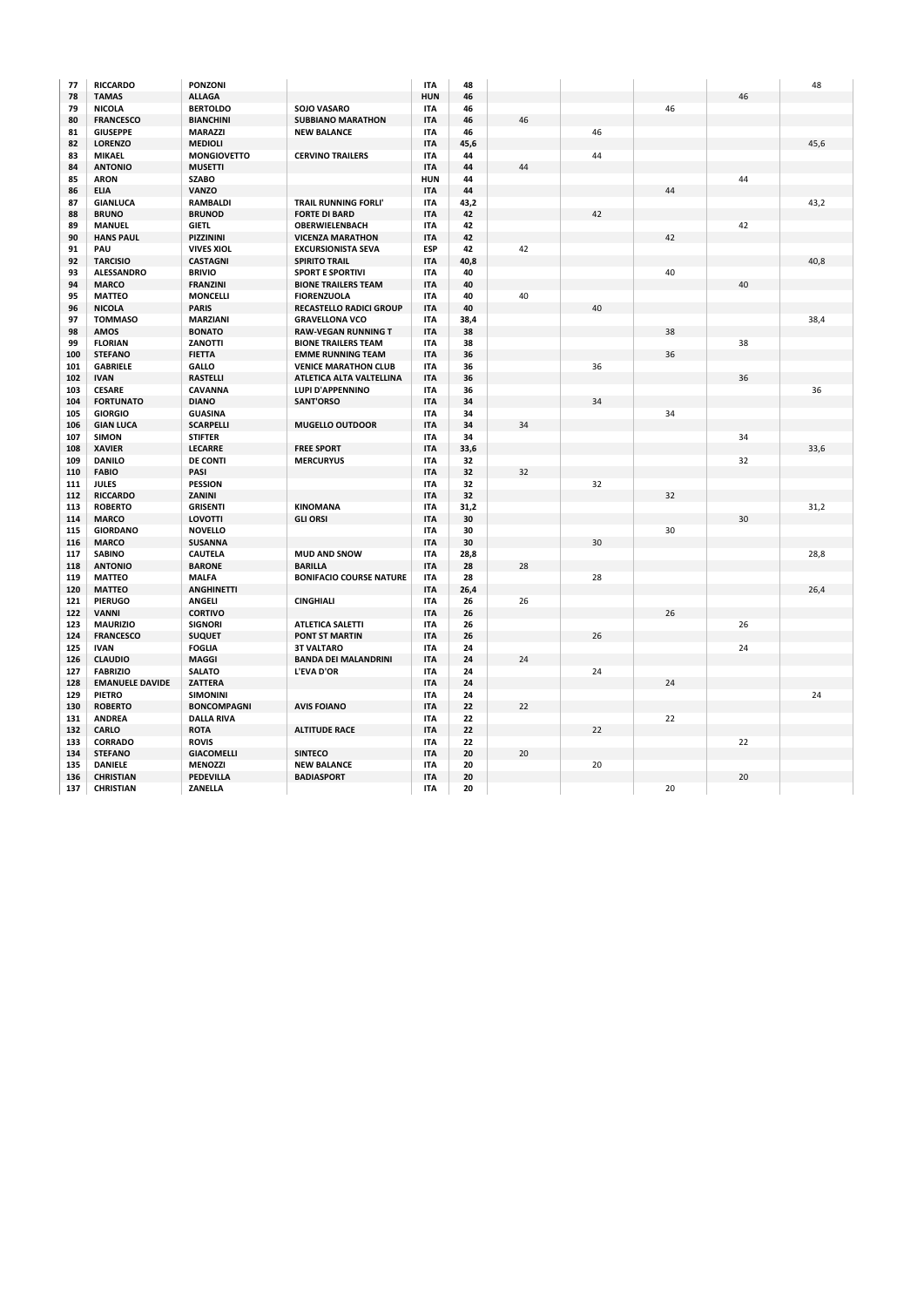| 77  | <b>RICCARDO</b>        | <b>PONZONI</b>     |                                | <b>ITA</b> | 48   |        |    |        |        | 48   |
|-----|------------------------|--------------------|--------------------------------|------------|------|--------|----|--------|--------|------|
| 78  | <b>TAMAS</b>           | <b>ALLAGA</b>      |                                | <b>HUN</b> | 46   |        |    |        | 46     |      |
| 79  | <b>NICOLA</b>          | <b>BERTOLDO</b>    | <b>SOJO VASARO</b>             | <b>ITA</b> | 46   |        |    | 46     |        |      |
| 80  | <b>FRANCESCO</b>       | <b>BIANCHINI</b>   | <b>SUBBIANO MARATHON</b>       | <b>ITA</b> | 46   | 46     |    |        |        |      |
| 81  | <b>GIUSEPPE</b>        | <b>MARAZZI</b>     | <b>NEW BALANCE</b>             | <b>ITA</b> | 46   |        | 46 |        |        |      |
| 82  | <b>LORENZO</b>         | <b>MEDIOLI</b>     |                                | <b>ITA</b> | 45,6 |        |    |        |        | 45,6 |
| 83  | <b>MIKAEL</b>          | <b>MONGIOVETTO</b> | <b>CERVINO TRAILERS</b>        | <b>ITA</b> | 44   |        | 44 |        |        |      |
| 84  | <b>ANTONIO</b>         | <b>MUSETTI</b>     |                                | <b>ITA</b> | 44   | 44     |    |        |        |      |
| 85  | <b>ARON</b>            | <b>SZABO</b>       |                                | <b>HUN</b> | 44   |        |    |        | 44     |      |
| 86  | <b>ELIA</b>            | <b>VANZO</b>       |                                | <b>ITA</b> | 44   |        |    | 44     |        |      |
|     | <b>GIANLUCA</b>        |                    |                                |            |      |        |    |        |        |      |
| 87  |                        | <b>RAMBALDI</b>    | <b>TRAIL RUNNING FORLI'</b>    | <b>ITA</b> | 43,2 |        |    |        |        | 43,2 |
| 88  | <b>BRUNO</b>           | <b>BRUNOD</b>      | <b>FORTE DI BARD</b>           | <b>ITA</b> | 42   |        | 42 |        |        |      |
| 89  | <b>MANUEL</b>          | <b>GIETL</b>       | <b>OBERWIELENBACH</b>          | <b>ITA</b> | 42   |        |    |        | 42     |      |
| 90  | <b>HANS PAUL</b>       | PIZZININI          | <b>VICENZA MARATHON</b>        | <b>ITA</b> | 42   |        |    | 42     |        |      |
| 91  | PAU                    | <b>VIVES XIOL</b>  | <b>EXCURSIONISTA SEVA</b>      | <b>ESP</b> | 42   | 42     |    |        |        |      |
| 92  | <b>TARCISIO</b>        | <b>CASTAGNI</b>    | <b>SPIRITO TRAIL</b>           | <b>ITA</b> | 40,8 |        |    |        |        | 40,8 |
| 93  | <b>ALESSANDRO</b>      | <b>BRIVIO</b>      | <b>SPORT E SPORTIVI</b>        | <b>ITA</b> | 40   |        |    | 40     |        |      |
| 94  | <b>MARCO</b>           | <b>FRANZINI</b>    | <b>BIONE TRAILERS TEAM</b>     | <b>ITA</b> | 40   |        |    |        | 40     |      |
| 95  | <b>MATTEO</b>          | <b>MONCELLI</b>    | <b>FIORENZUOLA</b>             | <b>ITA</b> | 40   | 40     |    |        |        |      |
| 96  | <b>NICOLA</b>          | <b>PARIS</b>       | <b>RECASTELLO RADICI GROUP</b> | <b>ITA</b> | 40   |        | 40 |        |        |      |
| 97  | <b>TOMMASO</b>         | <b>MARZIANI</b>    | <b>GRAVELLONA VCO</b>          | <b>ITA</b> | 38,4 |        |    |        |        | 38,4 |
| 98  | <b>AMOS</b>            | <b>BONATO</b>      | <b>RAW-VEGAN RUNNING T</b>     | <b>ITA</b> | 38   |        |    | 38     |        |      |
| 99  | <b>FLORIAN</b>         | <b>ZANOTTI</b>     | <b>BIONE TRAILERS TEAM</b>     | <b>ITA</b> | 38   |        |    |        | 38     |      |
| 100 | <b>STEFANO</b>         | <b>FIETTA</b>      | <b>EMME RUNNING TEAM</b>       | <b>ITA</b> | 36   |        |    | 36     |        |      |
| 101 | <b>GABRIELE</b>        | <b>GALLO</b>       | <b>VENICE MARATHON CLUB</b>    | <b>ITA</b> | 36   |        | 36 |        |        |      |
| 102 | <b>IVAN</b>            | <b>RASTELLI</b>    | ATLETICA ALTA VALTELLINA       | <b>ITA</b> | 36   |        |    |        | 36     |      |
| 103 | <b>CESARE</b>          | <b>CAVANNA</b>     | <b>LUPI D'APPENNINO</b>        | <b>ITA</b> | 36   |        |    |        |        | 36   |
| 104 | <b>FORTUNATO</b>       | <b>DIANO</b>       | <b>SANT'ORSO</b>               | <b>ITA</b> | 34   |        | 34 |        |        |      |
| 105 | <b>GIORGIO</b>         | <b>GUASINA</b>     |                                | <b>ITA</b> | 34   |        |    | 34     |        |      |
| 106 | <b>GIAN LUCA</b>       | <b>SCARPELLI</b>   | <b>MUGELLO OUTDOOR</b>         | <b>ITA</b> | 34   | 34     |    |        |        |      |
|     | <b>SIMON</b>           | <b>STIFTER</b>     |                                | <b>ITA</b> | 34   |        |    |        | 34     |      |
| 107 |                        |                    |                                |            |      |        |    |        |        |      |
| 108 | <b>XAVIER</b>          | <b>LECARRE</b>     | <b>FREE SPORT</b>              | <b>ITA</b> | 33,6 |        |    |        |        | 33,6 |
| 109 | <b>DANILO</b>          | <b>DE CONTI</b>    | <b>MERCURYUS</b>               | ITA        | 32   |        |    |        | 32     |      |
| 110 | <b>FABIO</b>           | <b>PASI</b>        |                                | <b>ITA</b> | 32   | 32     |    |        |        |      |
| 111 | <b>JULES</b>           | <b>PESSION</b>     |                                | <b>ITA</b> | 32   |        | 32 |        |        |      |
| 112 | <b>RICCARDO</b>        | ZANINI             |                                | <b>ITA</b> | 32   |        |    | 32     |        |      |
| 113 | <b>ROBERTO</b>         | <b>GRISENTI</b>    | <b>KINOMANA</b>                | <b>ITA</b> | 31,2 |        |    |        |        | 31,2 |
| 114 | <b>MARCO</b>           | <b>LOVOTTI</b>     | <b>GLI ORSI</b>                | <b>ITA</b> | 30   |        |    |        | 30     |      |
| 115 | <b>GIORDANO</b>        | <b>NOVELLO</b>     |                                | <b>ITA</b> | 30   |        |    | $30\,$ |        |      |
| 116 | <b>MARCO</b>           | <b>SUSANNA</b>     |                                | <b>ITA</b> | 30   |        | 30 |        |        |      |
| 117 | <b>SABINO</b>          | <b>CAUTELA</b>     | <b>MUD AND SNOW</b>            | <b>ITA</b> | 28,8 |        |    |        |        | 28,8 |
| 118 | <b>ANTONIO</b>         | <b>BARONE</b>      | <b>BARILLA</b>                 | <b>ITA</b> | 28   | 28     |    |        |        |      |
| 119 | <b>MATTEO</b>          | <b>MALFA</b>       | <b>BONIFACIO COURSE NATURE</b> | <b>ITA</b> | 28   |        | 28 |        |        |      |
| 120 | <b>MATTEO</b>          | <b>ANGHINETTI</b>  |                                | <b>ITA</b> | 26,4 |        |    |        |        | 26,4 |
| 121 | <b>PIERUGO</b>         | <b>ANGELI</b>      | <b>CINGHIALI</b>               | ITA        | 26   | 26     |    |        |        |      |
| 122 | <b>VANNI</b>           | <b>CORTIVO</b>     |                                | <b>ITA</b> | 26   |        |    | 26     |        |      |
| 123 | <b>MAURIZIO</b>        | <b>SIGNORI</b>     | <b>ATLETICA SALETTI</b>        | <b>ITA</b> | 26   |        |    |        | 26     |      |
| 124 | <b>FRANCESCO</b>       | <b>SUQUET</b>      | <b>PONT ST MARTIN</b>          | ITA        | 26   |        | 26 |        |        |      |
| 125 | <b>IVAN</b>            | <b>FOGLIA</b>      | <b>3T VALTARO</b>              | ITA        | 24   |        |    |        | 24     |      |
| 126 | <b>CLAUDIO</b>         | <b>MAGGI</b>       | <b>BANDA DEI MALANDRINI</b>    | <b>ITA</b> | 24   | 24     |    |        |        |      |
|     | <b>FABRIZIO</b>        | <b>SALATO</b>      | <b>L'EVA D'OR</b>              |            |      |        | 24 |        |        |      |
| 127 |                        |                    |                                | ITA        | 24   |        |    | 24     |        |      |
| 128 | <b>EMANUELE DAVIDE</b> | <b>ZATTERA</b>     |                                | <b>ITA</b> | 24   |        |    |        |        |      |
| 129 | <b>PIETRO</b>          | <b>SIMONINI</b>    |                                | <b>ITA</b> | 24   |        |    |        |        | 24   |
| 130 | <b>ROBERTO</b>         | <b>BONCOMPAGNI</b> | <b>AVIS FOIANO</b>             | <b>ITA</b> | 22   | 22     |    |        |        |      |
| 131 | <b>ANDREA</b>          | <b>DALLA RIVA</b>  |                                | ITA        | 22   |        |    | 22     |        |      |
| 132 | <b>CARLO</b>           | <b>ROTA</b>        | <b>ALTITUDE RACE</b>           | <b>ITA</b> | 22   |        | 22 |        |        |      |
| 133 | <b>CORRADO</b>         | <b>ROVIS</b>       |                                | ITA        | 22   |        |    |        | 22     |      |
| 134 | <b>STEFANO</b>         | <b>GIACOMELLI</b>  | <b>SINTECO</b>                 | <b>ITA</b> | 20   | $20\,$ |    |        |        |      |
| 135 | <b>DANIELE</b>         | <b>MENOZZI</b>     | <b>NEW BALANCE</b>             | ITA        | 20   |        | 20 |        |        |      |
| 136 | <b>CHRISTIAN</b>       | <b>PEDEVILLA</b>   | <b>BADIASPORT</b>              | <b>ITA</b> | 20   |        |    |        | $20\,$ |      |
| 137 | <b>CHRISTIAN</b>       | ZANELLA            |                                | <b>ITA</b> | 20   |        |    | 20     |        |      |